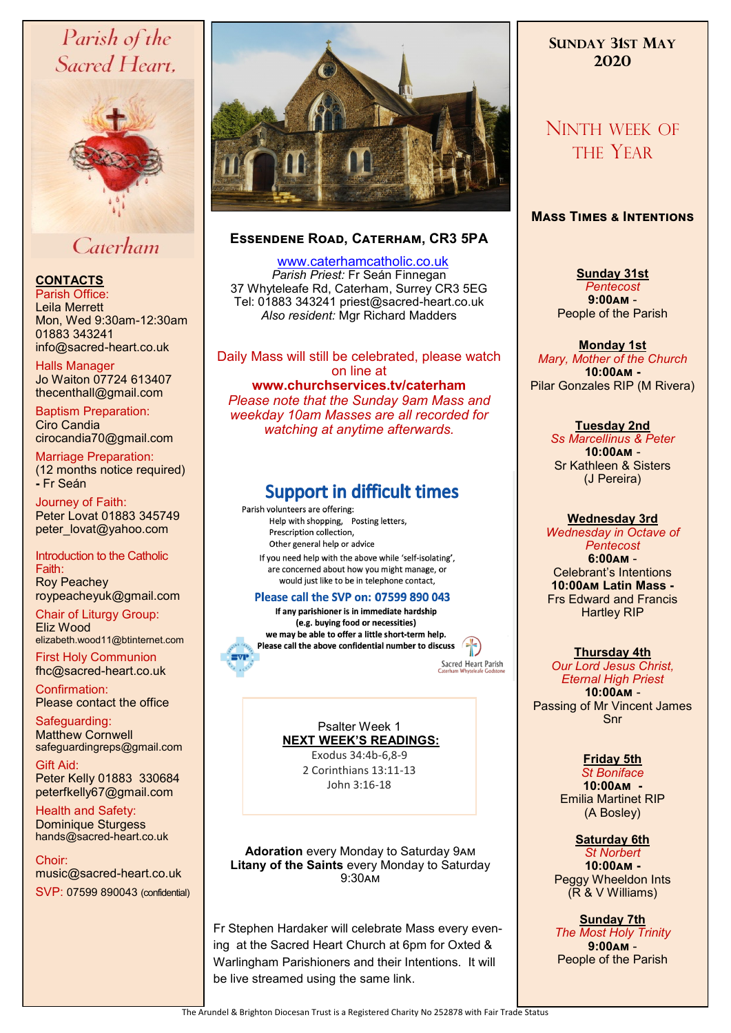# Parish of the Sacred Heart,



## Caterham

## **CONTACTS**

Parish Office: Leila Merrett Mon, Wed 9:30am-12:30am 01883 343241 info@sacred-heart.co.uk .

Halls Manager Jo Waiton 07724 613407 thecenthall@gmail.com

Baptism Preparation: Ciro Candia cirocandia70@gmail.com

Marriage Preparation: (12 months notice required) **-** Fr Seán

Journey of Faith: Peter Lovat 01883 345749 peter\_lovat@yahoo.com

Introduction to the Catholic Faith: Roy Peachey roypeacheyuk@gmail.com

Chair of Liturgy Group: Eliz Wood elizabeth.wood11@btinternet.com

First Holy Communion fhc@sacred-heart.co.uk

Confirmation: Please contact the office

Safeguarding: Matthew Cornwell safeguardingreps@gmail.com

Gift Aid: Peter Kelly 01883 330684 peterfkelly67@gmail.com

Health and Safety: Dominique Sturgess hands@sacred-heart.co.uk

Choir: music@sacred-heart.co.uk . SVP: 07599 890043 (confidential)



## **Essendene Road, Caterham, CR3 5PA**

 [www.caterhamcatholic.co.uk](http://Www.caterhamcatholic.co.uk) *Parish Priest:* Fr Seán Finnegan 37 Whyteleafe Rd, Caterham, Surrey CR3 5EG Tel: 01883 343241 priest@sacred-heart.co.uk *Also resident:* Mgr Richard Madders

Daily Mass will still be celebrated, please watch on line at **www.churchservices.tv/caterham**  *Please note that the Sunday 9am Mass and weekday 10am Masses are all recorded for watching at anytime afterwards.*

## **Support in difficult times**

Parish volunteers are offering: Help with shopping, Posting letters, Prescription collection, Other general help or advice If you need help with the above while 'self-isolating', are concerned about how you might manage, or would just like to be in telephone contact,

## Please call the SVP on: 07599 890 043

If any parishioner is in immediate hardship (e.g. buying food or necessities) we may be able to offer a little short-term help. Please call the above confidential number to discuss

Sacred Heart Parish

Psalter Week 1 **NEXT WEEK'S READINGS:**  Exodus 34:4b-6,8-9 2 Corinthians 13:11-13

John 3:16-18

**Adoration** every Monday to Saturday 9am **Litany of the Saints** every Monday to Saturday 9:30am

Fr Stephen Hardaker will celebrate Mass every evening at the Sacred Heart Church at 6pm for Oxted & Warlingham Parishioners and their Intentions. It will be live streamed using the same link.

## **SUNDAY 31ST MAY 2020**

# NINTH WEEK OF THE YEAR

## **Mass Times & Intentions**

**Sunday 31st**  *Pentecost* **9:00am** - People of the Parish

#### **Monday 1st**

*Mary, Mother of the Church* **10:00am -** Pilar Gonzales RIP (M Rivera)

## **Tuesday 2nd**

*Ss Marcellinus & Peter* **10:00am** - Sr Kathleen & Sisters (J Pereira)

#### **Wednesday 3rd**

*Wednesday in Octave of Pentecost* **6:00am** - Celebrant's Intentions **10:00am Latin Mass -** Frs Edward and Francis Hartley RIP

### **Thursday 4th**

*Our Lord Jesus Christ, Eternal High Priest* **10:00am** - Passing of Mr Vincent James Snr

## **Friday 5th**

*St Boniface* **10:00am -** Emilia Martinet RIP (A Bosley)

## **Saturday 6th**

*St Norbert* **10:00am -**  Peggy Wheeldon Ints (R & V Williams)

**Sunday 7th**  *The Most Holy Trinity* **9:00am** - People of the Parish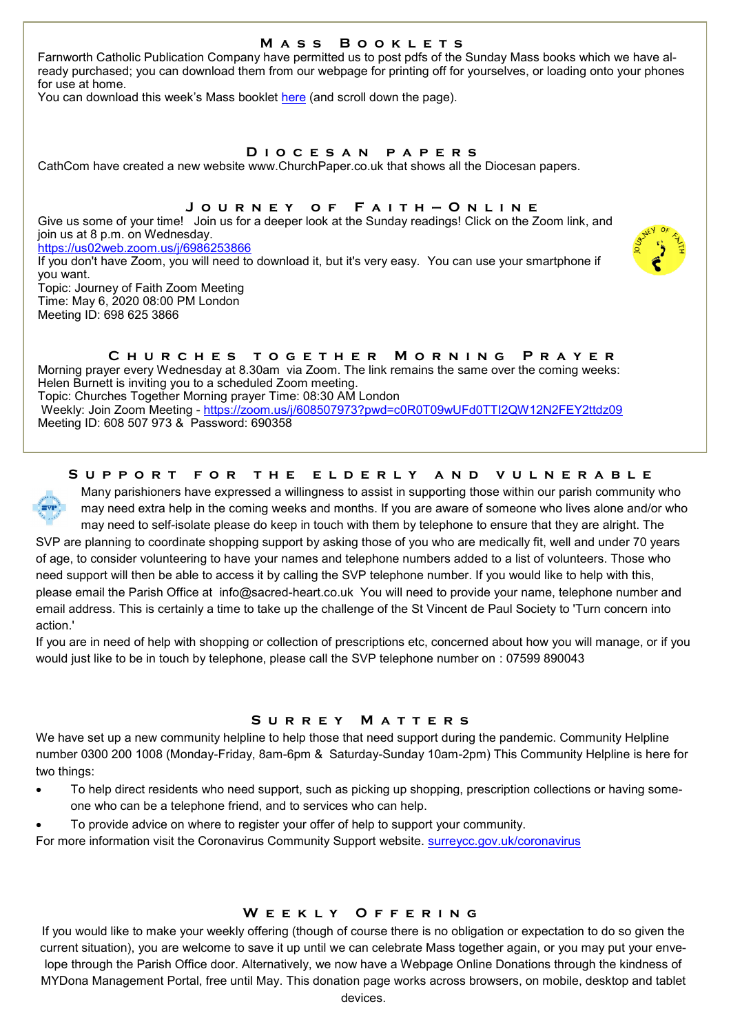## **M a s s B o o k l e t s**

Farnworth Catholic Publication Company have permitted us to post pdfs of the Sunday Mass books which we have already purchased; you can download them from our webpage for printing off for yourselves, or loading onto your phones for use at home.

You can download this week's Mass booklet [here](http://www.caterhamcatholic.co.uk/Sacred_Heart_Catholic_Church/public.html) (and scroll down the page).

#### **D i o c e s a n p a p e r s**

CathCom have created a new website www.ChurchPaper.co.uk that shows all the Diocesan papers.

#### **J o u r n e y o f F a i t h — O n l i n e**

Give us some of your time! Join us for a deeper look at the Sunday readings! Click on the Zoom link, and join us at 8 p.m. on Wednesday.

<https://us02web.zoom.us/j/6986253866>

If you don't have Zoom, you will need to download it, but it's very easy. You can use your smartphone if you want.

Topic: Journey of Faith Zoom Meeting Time: May 6, 2020 08:00 PM London Meeting ID: 698 625 3866

## **C h u r c h e s t o g e t h e r M o r n i n g P r a y e r**

Morning prayer every Wednesday at 8.30am via Zoom. The link remains the same over the coming weeks: Helen Burnett is inviting you to a scheduled Zoom meeting. Topic: Churches Together Morning prayer Time: 08:30 AM London Weekly: Join Zoom Meeting - <https://zoom.us/j/608507973?pwd=c0R0T09wUFd0TTI2QW12N2FEY2ttdz09>

Meeting ID: 608 507 973 & Password: 690358

## **S u p p o r t f o r t h e e l d e r l y a n d v u l n e r a b l e**



Many parishioners have expressed a willingness to assist in supporting those within our parish community who may need extra help in the coming weeks and months. If you are aware of someone who lives alone and/or who may need to self-isolate please do keep in touch with them by telephone to ensure that they are alright. The

SVP are planning to coordinate shopping support by asking those of you who are medically fit, well and under 70 years of age, to consider volunteering to have your names and telephone numbers added to a list of volunteers. Those who need support will then be able to access it by calling the SVP telephone number. If you would like to help with this, please email the Parish Office at info@sacred-heart.co.uk You will need to provide your name, telephone number and email address. This is certainly a time to take up the challenge of the St Vincent de Paul Society to 'Turn concern into action.'

If you are in need of help with shopping or collection of prescriptions etc, concerned about how you will manage, or if you would just like to be in touch by telephone, please call the SVP telephone number on : 07599 890043

### **S u r r e y M a t t e r s**

We have set up a new community helpline to help those that need support during the pandemic. Community Helpline number 0300 200 1008 (Monday-Friday, 8am-6pm & Saturday-Sunday 10am-2pm) This Community Helpline is here for two things:

- To help direct residents who need support, such as picking up shopping, prescription collections or having someone who can be a telephone friend, and to services who can help.
- To provide advice on where to register your offer of help to support your community.

For more information visit the Coronavirus Community Support website. <surreycc.gov.uk/coronavirus>

### **W e e k l y O f f e r i n g**

If you would like to make your weekly offering (though of course there is no obligation or expectation to do so given the current situation), you are welcome to save it up until we can celebrate Mass together again, or you may put your envelope through the Parish Office door. Alternatively, we now have a Webpage Online Donations through the kindness of MYDona Management Portal, free until May. This donation page works across browsers, on mobile, desktop and tablet devices.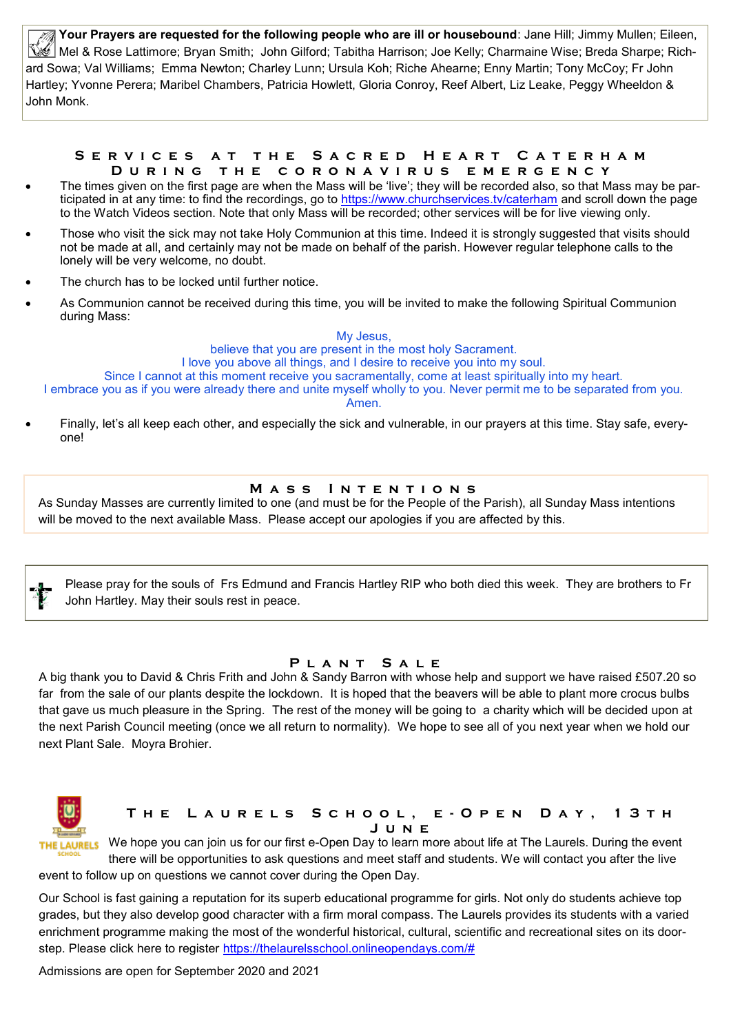**Your Prayers are requested for the following people who are ill or housebound**: Jane Hill; Jimmy Mullen; Eileen, Mel & Rose Lattimore; Bryan Smith; John Gilford; Tabitha Harrison; Joe Kelly; Charmaine Wise; Breda Sharpe; Richard Sowa; Val Williams; Emma Newton; Charley Lunn; Ursula Koh; Riche Ahearne; Enny Martin; Tony McCoy; Fr John Hartley; Yvonne Perera; Maribel Chambers, Patricia Howlett, Gloria Conroy, Reef Albert, Liz Leake, Peggy Wheeldon & John Monk.

#### S E R V I C E S A T T H E S A C R E D H E A R T C A T E R H A M **D u r i n g t h e c o r o n a v i r u s e m e r g e n c y**

- The times given on the first page are when the Mass will be 'live'; they will be recorded also, so that Mass may be participated in at any time: to find the recordings, go to <https://www.churchservices.tv/caterham> and scroll down the page to the Watch Videos section. Note that only Mass will be recorded; other services will be for live viewing only.
- Those who visit the sick may not take Holy Communion at this time. Indeed it is strongly suggested that visits should not be made at all, and certainly may not be made on behalf of the parish. However regular telephone calls to the lonely will be very welcome, no doubt.
- The church has to be locked until further notice.
- As Communion cannot be received during this time, you will be invited to make the following Spiritual Communion during Mass:

My Jesus, believe that you are present in the most holy Sacrament. I love you above all things, and I desire to receive you into my soul. Since I cannot at this moment receive you sacramentally, come at least spiritually into my heart. I embrace you as if you were already there and unite myself wholly to you. Never permit me to be separated from you. Amen.

 Finally, let's all keep each other, and especially the sick and vulnerable, in our prayers at this time. Stay safe, everyone!

## **MASS INTENTIONS**

As Sunday Masses are currently limited to one (and must be for the People of the Parish), all Sunday Mass intentions will be moved to the next available Mass. Please accept our apologies if you are affected by this.

Please pray for the souls of Frs Edmund and Francis Hartley RIP who both died this week. They are brothers to Fr John Hartley. May their souls rest in peace.

### **P l a n t S a l e**

A big thank you to David & Chris Frith and John & Sandy Barron with whose help and support we have raised £507.20 so far from the sale of our plants despite the lockdown. It is hoped that the beavers will be able to plant more crocus bulbs that gave us much pleasure in the Spring. The rest of the money will be going to a charity which will be decided upon at the next Parish Council meeting (once we all return to normality). We hope to see all of you next year when we hold our next Plant Sale. Moyra Brohier.



## **T h e L a u r e l s S c h o o l , e - O p e n D a y , 1 3 t h J u n e**

We hope you can join us for our first e-Open Day to learn more about life at The Laurels. During the event there will be opportunities to ask questions and meet staff and students. We will contact you after the live event to follow up on questions we cannot cover during the Open Day.

Our School is fast gaining a reputation for its superb educational programme for girls. Not only do students achieve top grades, but they also develop good character with a firm moral compass. The Laurels provides its students with a varied enrichment programme making the most of the wonderful historical, cultural, scientific and recreational sites on its doorstep. Please click here to register [https://thelaurelsschool.onlineopendays.com/#](https://thelaurelsschool.onlineopendays.com/)

Admissions are open for September 2020 and 2021